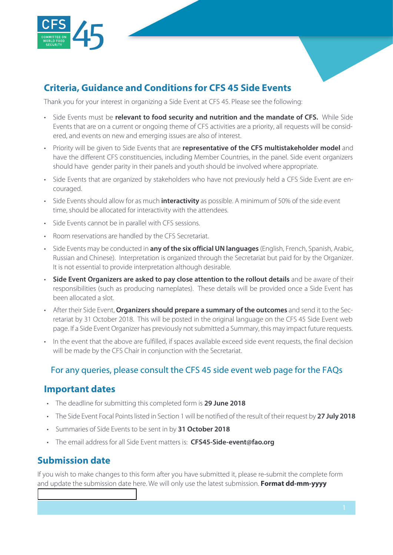

# **Criteria, Guidance and Conditions for CFS 45 Side Events**

Thank you for your interest in organizing a Side Event at CFS 45. Please see the following:

- Side Events must be **relevant to food security and nutrition and the mandate of CFS.** While Side Events that are on a current or ongoing theme of CFS activities are a priority, all requests will be considered, and events on new and emerging issues are also of interest.
- Priority will be given to Side Events that are **representative of the CFS multistakeholder model** and have the different CFS constituencies, including Member Countries, in the panel. Side event organizers should have gender parity in their panels and youth should be involved where appropriate.
- Side Events that are organized by stakeholders who have not previously held a CFS Side Event are encouraged.
- Side Events should allow for as much **interactivity** as possible. A minimum of 50% of the side event time, should be allocated for interactivity with the attendees.
- Side Events cannot be in parallel with CFS sessions.
- Room reservations are handled by the CFS Secretariat.
- Side Events may be conducted in **any of the six official UN languages** (English, French, Spanish, Arabic, Russian and Chinese). Interpretation is organized through the Secretariat but paid for by the Organizer. It is not essential to provide interpretation although desirable.
- **Side Event Organizers are asked to pay close attention to the rollout details** and be aware of their responsibilities (such as producing nameplates). These details will be provided once a Side Event has been allocated a slot.
- After their Side Event, **Organizers should prepare a summary of the outcomes** and send it to the Secretariat by 31 October 2018. This will be posted in the original language on the CFS 45 Side Event web page. If a Side Event Organizer has previously not submitted a Summary, this may impact future requests.
- In the event that the above are fulfilled, if spaces available exceed side event requests, the final decision will be made by the CFS Chair in conjunction with the Secretariat.

#### For any queries, please consult the [CFS 45 side event web page](http://www.fao.org/cfs/home/plenary/cfs45/side-events) for the FAQs

#### **Important dates**

- The deadline for submitting this completed form is **29 June 2018**
- The Side Event Focal Points listed in Section 1 will be notified of the result of their request by **27 July 2018**
- Summaries of Side Events to be sent in by **31 October 2018**
- The email address for all Side Event matters is: **[CFS45-Side-event@fao.org](mailto:CFS45-Side-event@fao.org)**

## **Submission date**

If you wish to make changes to this form after you have submitted it, please re-submit the complete form and update the submission date here. We will only use the latest submission. **Format dd-mm-yyyy**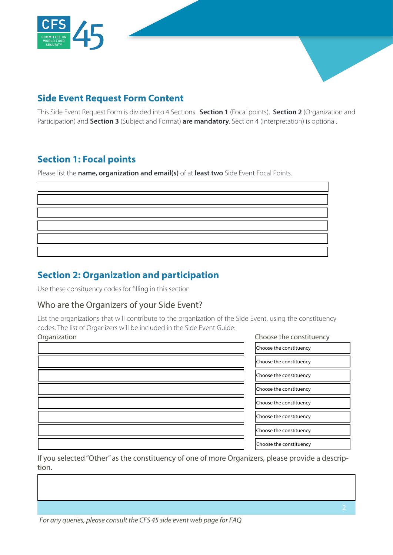

# **Side Event Request Form Content**

This Side Event Request Form is divided into 4 Sections. **Section 1** (Focal points), **Section 2** (Organization and Participation) and **Section 3** (Subject and Format) **are mandatory**. Section 4 (Interpretation) is optional.

# **Section 1: Focal points**

Please list the **name, organization and email(s)** of at **least two** Side Event Focal Points.

# **Section 2: Organization and participation**

Use these consituency codes for filling in this section

#### Who are the Organizers of your Side Event?

List the organizations that will contribute to the organization of the Side Event, using the constituency codes. The list of Organizers will be included in the Side Event Guide: Organization Choose the constituency

| ,我们也不会有什么?""我们的人,我们也不会有什么?""我们的人,我们也不会有什么?""我们的人,我们也不会有什么?""我们的人,我们也不会有什么?""我们的人                                     |  |
|----------------------------------------------------------------------------------------------------------------------|--|
| <u> 1989 - Andrea Santa Andrea Andrea Andrea Andrea Andrea Andrea Andrea Andrea Andrea Andrea Andrea Andrea Andr</u> |  |
| ,我们也不会有什么?""我们的人,我们也不会有什么?""我们的人,我们也不会有什么?""我们的人,我们也不会有什么?""我们的人,我们也不会有什么?""我们的人                                     |  |
|                                                                                                                      |  |
|                                                                                                                      |  |
| ,我们也不会有什么?""我们的人,我们也不会有什么?""我们的人,我们也不会有什么?""我们的人,我们也不会有什么?""我们的人,我们也不会有什么?""我们的人                                     |  |
|                                                                                                                      |  |
|                                                                                                                      |  |

# Choose the constituency Choose the constituency Choose the constituency Choose the constituency Choose the constituency Choose the constituency Choose the constituency Choose the constituency

If you selected "Other" as the constituency of one of more Organizers, please provide a description.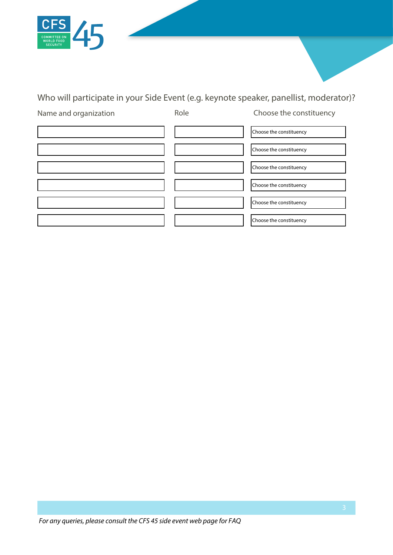

# Who will participate in your Side Event (e.g. keynote speaker, panellist, moderator)?

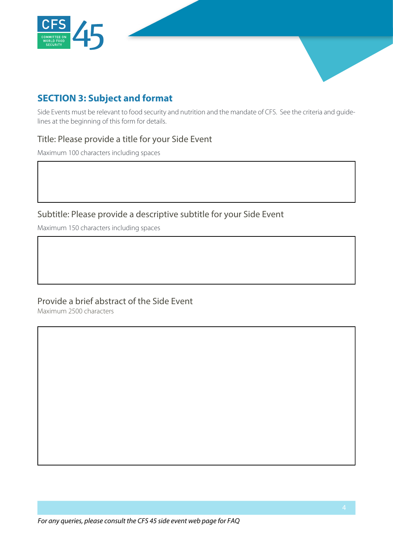

# **SECTION 3: Subject and format**

Side Events must be relevant to food security and nutrition and the mandate of CFS. See the criteria and guidelines at the beginning of this form for details.

#### Title: Please provide a title for your Side Event

Maximum 100 characters including spaces

## Subtitle: Please provide a descriptive subtitle for your Side Event

Maximum 150 characters including spaces

### Provide a brief abstract of the Side Event

Maximum 2500 characters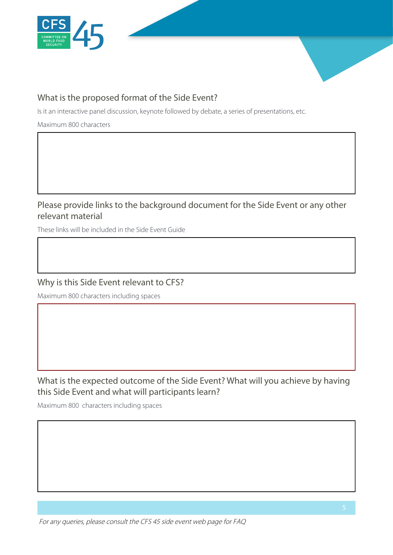

## What is the proposed format of the Side Event?

Is it an interactive panel discussion, keynote followed by debate, a series of presentations, etc.

Maximum 800 characters

# Please provide links to the background document for the Side Event or any other relevant material

These links will be included in the Side Event Guide

#### Why is this Side Event relevant to CFS?

Maximum 800 characters including spaces

## What is the expected outcome of the Side Event? What will you achieve by having this Side Event and what will participants learn?

Maximum 800 characters including spaces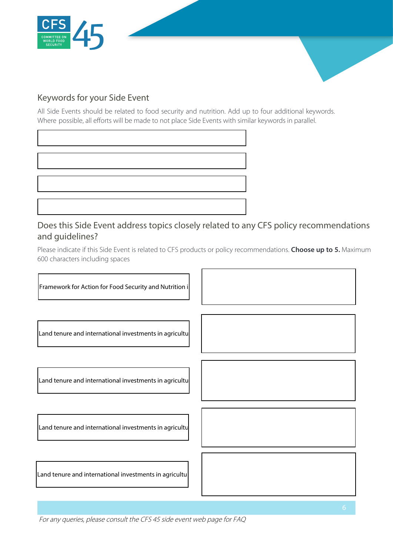

#### Keywords for your Side Event

All Side Events should be related to food security and nutrition. Add up to four additional keywords. Where possible, all efforts will be made to not place Side Events with similar keywords in parallel.

## Does this Side Event address topics closely related to any CFS policy recommendations and guidelines?

Please indicate if this Side Event is related to CFS products or policy recommendations. **Choose up to 5.** Maximum 600 characters including spaces



For any queries, please consult the [CFS 45 side event web page f](http://www.fao.org/cfs/home/plenary/cfs45/side-events)or FAQ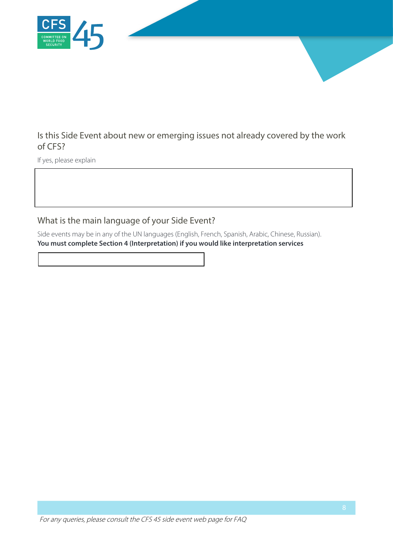

## Is this Side Event about new or emerging issues not already covered by the work of CFS?

If yes, please explain

# What is the main language of your Side Event?

Side events may be in any of the UN languages (English, French, Spanish, Arabic, Chinese, Russian). **You must complete Section 4 (Interpretation) if you would like interpretation services**